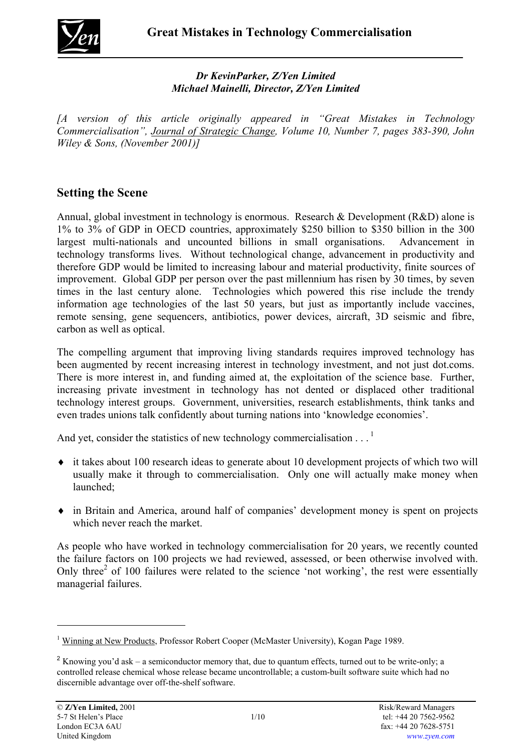

## *Dr KevinParker, Z/Yen Limited Michael Mainelli, Director, Z/Yen Limited*

*[A version of this article originally appeared in "Great Mistakes in Technology Commercialisation", Journal of Strategic Change, Volume 10, Number 7, pages 383-390, John Wiley & Sons, (November 2001)]*

# **Setting the Scene**

Annual, global investment in technology is enormous. Research & Development (R&D) alone is 1% to 3% of GDP in OECD countries, approximately \$250 billion to \$350 billion in the 300 largest multi-nationals and uncounted billions in small organisations. Advancement in technology transforms lives. Without technological change, advancement in productivity and therefore GDP would be limited to increasing labour and material productivity, finite sources of improvement. Global GDP per person over the past millennium has risen by 30 times, by seven times in the last century alone. Technologies which powered this rise include the trendy information age technologies of the last 50 years, but just as importantly include vaccines, remote sensing, gene sequencers, antibiotics, power devices, aircraft, 3D seismic and fibre, carbon as well as optical.

The compelling argument that improving living standards requires improved technology has been augmented by recent increasing interest in technology investment, and not just dot.coms. There is more interest in, and funding aimed at, the exploitation of the science base. Further, increasing private investment in technology has not dented or displaced other traditional technology interest groups. Government, universities, research establishments, think tanks and even trades unions talk confidently about turning nations into 'knowledge economies'.

And yet, consider the statistics of new technology commercialisation  $\ldots$ <sup>1</sup>

- ♦ it takes about 100 research ideas to generate about 10 development projects of which two will usually make it through to commercialisation. Only one will actually make money when launched;
- ♦ in Britain and America, around half of companies' development money is spent on projects which never reach the market.

As people who have worked in technology commercialisation for 20 years, we recently counted the failure factors on 100 projects we had reviewed, assessed, or been otherwise involved with. Only three<sup>[2](#page-0-1)</sup> of 100 failures were related to the science 'not working', the rest were essentially managerial failures.

l

<span id="page-0-0"></span><sup>&</sup>lt;sup>1</sup> Winning at New Products, Professor Robert Cooper (McMaster University), Kogan Page 1989.

<span id="page-0-1"></span><sup>&</sup>lt;sup>2</sup> Knowing you'd ask – a semiconductor memory that, due to quantum effects, turned out to be write-only; a controlled release chemical whose release became uncontrollable; a custom-built software suite which had no discernible advantage over off-the-shelf software.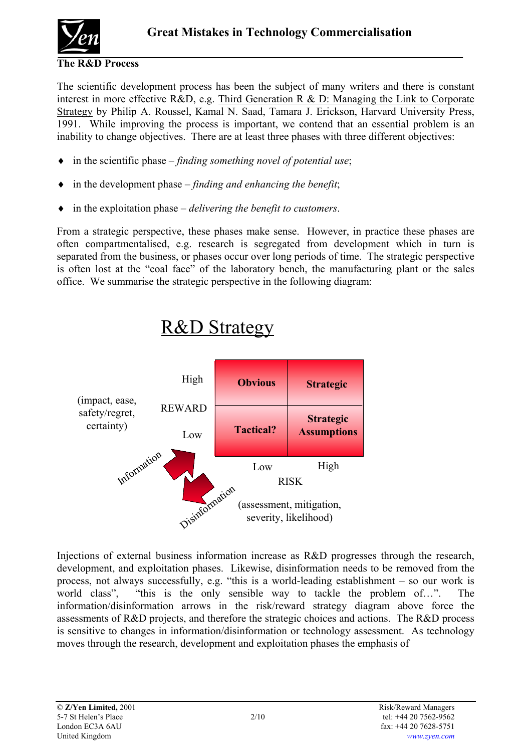

#### **The R&D Process**

The scientific development process has been the subject of many writers and there is constant interest in more effective R&D, e.g. Third Generation R & D: Managing the Link to Corporate Strategy by Philip A. Roussel, Kamal N. Saad, Tamara J. Erickson, Harvard University Press, 1991. While improving the process is important, we contend that an essential problem is an inability to change objectives. There are at least three phases with three different objectives:

- ♦ in the scientific phase *finding something novel of potential use*;
- ♦ in the development phase *finding and enhancing the benefit*;
- ♦ in the exploitation phase *delivering the benefit to customers*.

From a strategic perspective, these phases make sense. However, in practice these phases are often compartmentalised, e.g. research is segregated from development which in turn is separated from the business, or phases occur over long periods of time. The strategic perspective is often lost at the "coal face" of the laboratory bench, the manufacturing plant or the sales office. We summarise the strategic perspective in the following diagram:



# R&D Strategy

Injections of external business information increase as R&D progresses through the research, development, and exploitation phases. Likewise, disinformation needs to be removed from the process, not always successfully, e.g. "this is a world-leading establishment – so our work is world class", "this is the only sensible way to tackle the problem of...". The information/disinformation arrows in the risk/reward strategy diagram above force the assessments of R&D projects, and therefore the strategic choices and actions. The R&D process is sensitive to changes in information/disinformation or technology assessment. As technology moves through the research, development and exploitation phases the emphasis of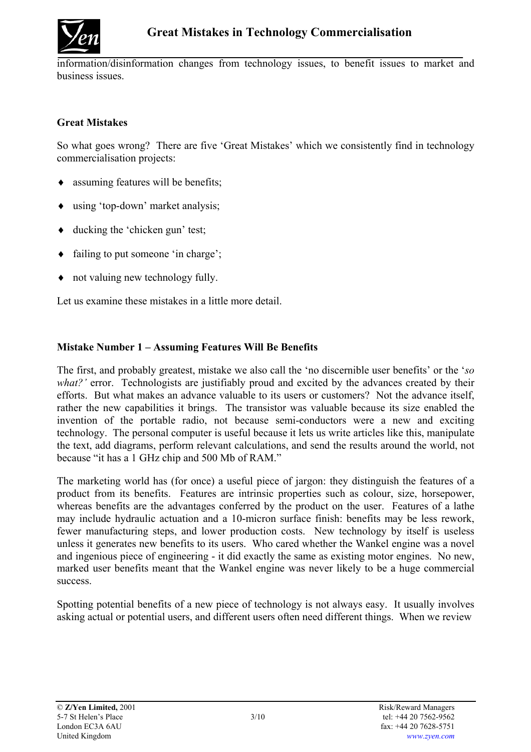

information/disinformation changes from technology issues, to benefit issues to market and business issues.

## **Great Mistakes**

So what goes wrong? There are five 'Great Mistakes' which we consistently find in technology commercialisation projects:

- assuming features will be benefits;
- ♦ using 'top-down' market analysis;
- ♦ ducking the 'chicken gun' test;
- ♦ failing to put someone 'in charge';
- ♦ not valuing new technology fully.

Let us examine these mistakes in a little more detail.

#### **Mistake Number 1 – Assuming Features Will Be Benefits**

The first, and probably greatest, mistake we also call the 'no discernible user benefits' or the '*so what?'* error. Technologists are justifiably proud and excited by the advances created by their efforts. But what makes an advance valuable to its users or customers? Not the advance itself, rather the new capabilities it brings. The transistor was valuable because its size enabled the invention of the portable radio, not because semi-conductors were a new and exciting technology. The personal computer is useful because it lets us write articles like this, manipulate the text, add diagrams, perform relevant calculations, and send the results around the world, not because "it has a 1 GHz chip and 500 Mb of RAM."

The marketing world has (for once) a useful piece of jargon: they distinguish the features of a product from its benefits. Features are intrinsic properties such as colour, size, horsepower, whereas benefits are the advantages conferred by the product on the user. Features of a lathe may include hydraulic actuation and a 10-micron surface finish: benefits may be less rework, fewer manufacturing steps, and lower production costs. New technology by itself is useless unless it generates new benefits to its users. Who cared whether the Wankel engine was a novel and ingenious piece of engineering - it did exactly the same as existing motor engines. No new, marked user benefits meant that the Wankel engine was never likely to be a huge commercial success.

Spotting potential benefits of a new piece of technology is not always easy. It usually involves asking actual or potential users, and different users often need different things. When we review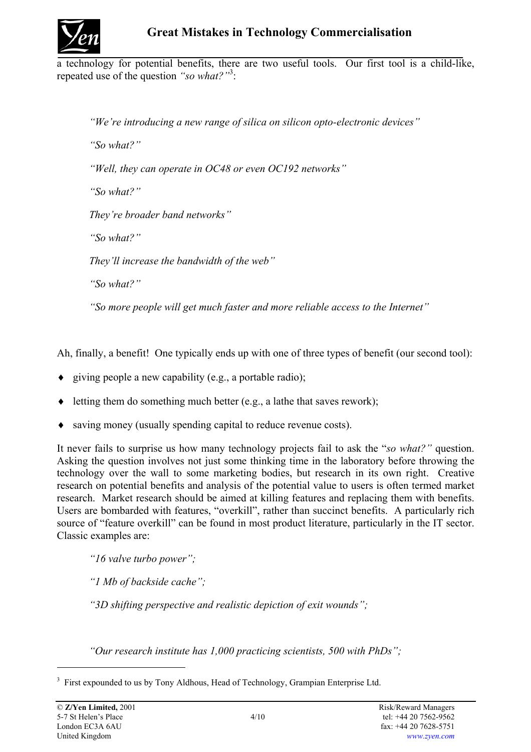

a technology for potential benefits, there are two useful tools. Our first tool is a child-like, repeated use of the question *"so what?"*[3](#page-3-0) :

*"We're introducing a new range of silica on silicon opto-electronic devices" "So what?" "Well, they can operate in OC48 or even OC192 networks" "So what?" They're broader band networks" "So what?" They'll increase the bandwidth of the web" "So what?"* 

*"So more people will get much faster and more reliable access to the Internet"* 

Ah, finally, a benefit! One typically ends up with one of three types of benefit (our second tool):

- ♦ giving people a new capability (e.g., a portable radio);
- $\bullet$  letting them do something much better (e.g., a lathe that saves rework);
- ♦ saving money (usually spending capital to reduce revenue costs).

It never fails to surprise us how many technology projects fail to ask the "*so what?"* question. Asking the question involves not just some thinking time in the laboratory before throwing the technology over the wall to some marketing bodies, but research in its own right. Creative research on potential benefits and analysis of the potential value to users is often termed market research. Market research should be aimed at killing features and replacing them with benefits. Users are bombarded with features, "overkill", rather than succinct benefits. A particularly rich source of "feature overkill" can be found in most product literature, particularly in the IT sector. Classic examples are:

*"16 valve turbo power";* 

*"1 Mb of backside cache";* 

*"3D shifting perspective and realistic depiction of exit wounds";* 

*"Our research institute has 1,000 practicing scientists, 500 with PhDs";* 

l

<span id="page-3-0"></span><sup>&</sup>lt;sup>3</sup> First expounded to us by Tony Aldhous, Head of Technology, Grampian Enterprise Ltd.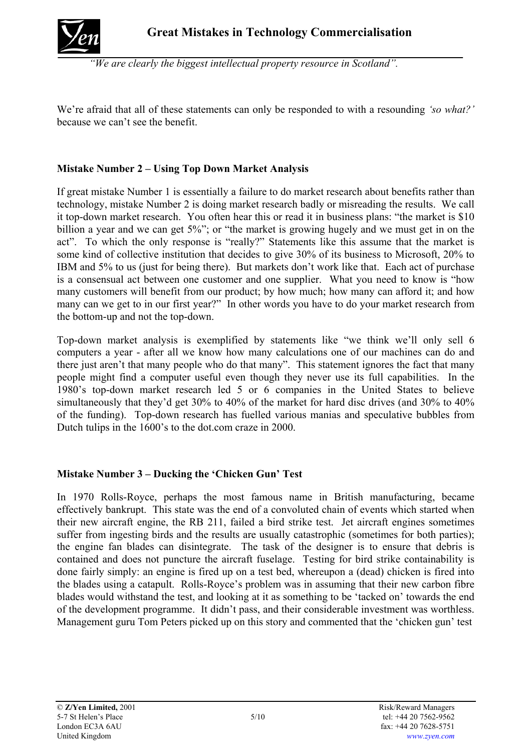

*"We are clearly the biggest intellectual property resource in Scotland".* 

We're afraid that all of these statements can only be responded to with a resounding *'so what?'*  because we can't see the benefit.

## **Mistake Number 2 – Using Top Down Market Analysis**

If great mistake Number 1 is essentially a failure to do market research about benefits rather than technology, mistake Number 2 is doing market research badly or misreading the results. We call it top-down market research. You often hear this or read it in business plans: "the market is \$10 billion a year and we can get 5%"; or "the market is growing hugely and we must get in on the act". To which the only response is "really?" Statements like this assume that the market is some kind of collective institution that decides to give 30% of its business to Microsoft, 20% to IBM and 5% to us (just for being there). But markets don't work like that. Each act of purchase is a consensual act between one customer and one supplier. What you need to know is "how many customers will benefit from our product; by how much; how many can afford it; and how many can we get to in our first year?" In other words you have to do your market research from the bottom-up and not the top-down.

Top-down market analysis is exemplified by statements like "we think we'll only sell 6 computers a year - after all we know how many calculations one of our machines can do and there just aren't that many people who do that many". This statement ignores the fact that many people might find a computer useful even though they never use its full capabilities. In the 1980's top-down market research led 5 or 6 companies in the United States to believe simultaneously that they'd get 30% to 40% of the market for hard disc drives (and 30% to 40%) of the funding). Top-down research has fuelled various manias and speculative bubbles from Dutch tulips in the 1600's to the dot.com craze in 2000.

# **Mistake Number 3 – Ducking the 'Chicken Gun' Test**

In 1970 Rolls-Royce, perhaps the most famous name in British manufacturing, became effectively bankrupt. This state was the end of a convoluted chain of events which started when their new aircraft engine, the RB 211, failed a bird strike test. Jet aircraft engines sometimes suffer from ingesting birds and the results are usually catastrophic (sometimes for both parties); the engine fan blades can disintegrate. The task of the designer is to ensure that debris is contained and does not puncture the aircraft fuselage. Testing for bird strike containability is done fairly simply: an engine is fired up on a test bed, whereupon a (dead) chicken is fired into the blades using a catapult. Rolls-Royce's problem was in assuming that their new carbon fibre blades would withstand the test, and looking at it as something to be 'tacked on' towards the end of the development programme. It didn't pass, and their considerable investment was worthless. Management guru Tom Peters picked up on this story and commented that the 'chicken gun' test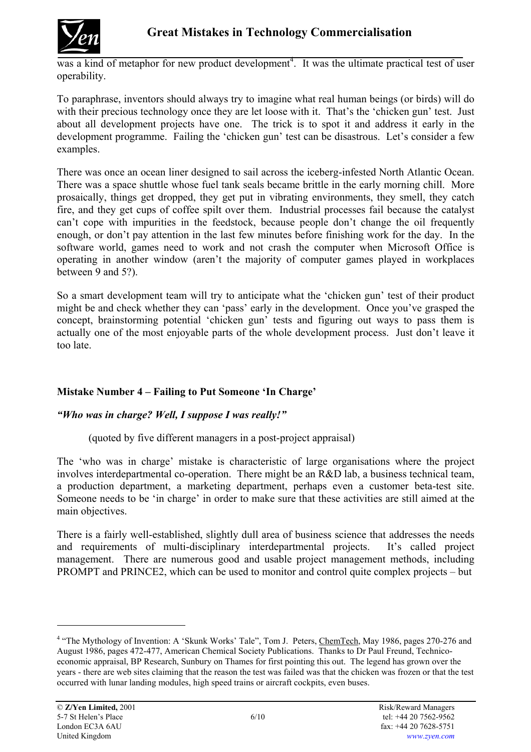

was a kind of metaphor for new product development<sup>[4](#page-5-0)</sup>. It was the ultimate practical test of user operability.

To paraphrase, inventors should always try to imagine what real human beings (or birds) will do with their precious technology once they are let loose with it. That's the 'chicken gun' test. Just about all development projects have one. The trick is to spot it and address it early in the development programme. Failing the 'chicken gun' test can be disastrous. Let's consider a few examples.

There was once an ocean liner designed to sail across the iceberg-infested North Atlantic Ocean. There was a space shuttle whose fuel tank seals became brittle in the early morning chill. More prosaically, things get dropped, they get put in vibrating environments, they smell, they catch fire, and they get cups of coffee spilt over them. Industrial processes fail because the catalyst can't cope with impurities in the feedstock, because people don't change the oil frequently enough, or don't pay attention in the last few minutes before finishing work for the day. In the software world, games need to work and not crash the computer when Microsoft Office is operating in another window (aren't the majority of computer games played in workplaces between 9 and 5?).

So a smart development team will try to anticipate what the 'chicken gun' test of their product might be and check whether they can 'pass' early in the development. Once you've grasped the concept, brainstorming potential 'chicken gun' tests and figuring out ways to pass them is actually one of the most enjoyable parts of the whole development process. Just don't leave it too late.

# **Mistake Number 4 – Failing to Put Someone 'In Charge'**

# *"Who was in charge? Well, I suppose I was really!"*

(quoted by five different managers in a post-project appraisal)

The 'who was in charge' mistake is characteristic of large organisations where the project involves interdepartmental co-operation. There might be an R&D lab, a business technical team, a production department, a marketing department, perhaps even a customer beta-test site. Someone needs to be 'in charge' in order to make sure that these activities are still aimed at the main objectives.

There is a fairly well-established, slightly dull area of business science that addresses the needs and requirements of multi-disciplinary interdepartmental projects. It's called project management. There are numerous good and usable project management methods, including PROMPT and PRINCE2, which can be used to monitor and control quite complex projects – but

l

<span id="page-5-0"></span><sup>&</sup>lt;sup>4</sup> "The Mythology of Invention: A 'Skunk Works' Tale", Tom J. Peters, ChemTech, May 1986, pages 270-276 and August 1986, pages 472-477, American Chemical Society Publications. Thanks to Dr Paul Freund, Technicoeconomic appraisal, BP Research, Sunbury on Thames for first pointing this out. The legend has grown over the years - there are web sites claiming that the reason the test was failed was that the chicken was frozen or that the test occurred with lunar landing modules, high speed trains or aircraft cockpits, even buses.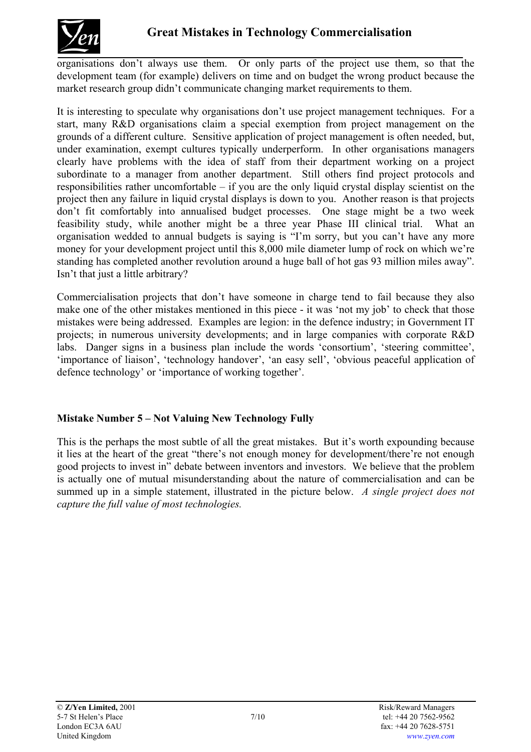

organisations don't always use them. Or only parts of the project use them, so that the development team (for example) delivers on time and on budget the wrong product because the market research group didn't communicate changing market requirements to them.

It is interesting to speculate why organisations don't use project management techniques. For a start, many R&D organisations claim a special exemption from project management on the grounds of a different culture. Sensitive application of project management is often needed, but, under examination, exempt cultures typically underperform. In other organisations managers clearly have problems with the idea of staff from their department working on a project subordinate to a manager from another department. Still others find project protocols and responsibilities rather uncomfortable – if you are the only liquid crystal display scientist on the project then any failure in liquid crystal displays is down to you. Another reason is that projects don't fit comfortably into annualised budget processes. One stage might be a two week feasibility study, while another might be a three year Phase III clinical trial. What an organisation wedded to annual budgets is saying is "I'm sorry, but you can't have any more money for your development project until this 8,000 mile diameter lump of rock on which we're standing has completed another revolution around a huge ball of hot gas 93 million miles away". Isn't that just a little arbitrary?

Commercialisation projects that don't have someone in charge tend to fail because they also make one of the other mistakes mentioned in this piece - it was 'not my job' to check that those mistakes were being addressed. Examples are legion: in the defence industry; in Government IT projects; in numerous university developments; and in large companies with corporate R&D labs. Danger signs in a business plan include the words 'consortium', 'steering committee', 'importance of liaison', 'technology handover', 'an easy sell', 'obvious peaceful application of defence technology' or 'importance of working together'.

# **Mistake Number 5 – Not Valuing New Technology Fully**

This is the perhaps the most subtle of all the great mistakes. But it's worth expounding because it lies at the heart of the great "there's not enough money for development/there're not enough good projects to invest in" debate between inventors and investors. We believe that the problem is actually one of mutual misunderstanding about the nature of commercialisation and can be summed up in a simple statement, illustrated in the picture below. *A single project does not capture the full value of most technologies.*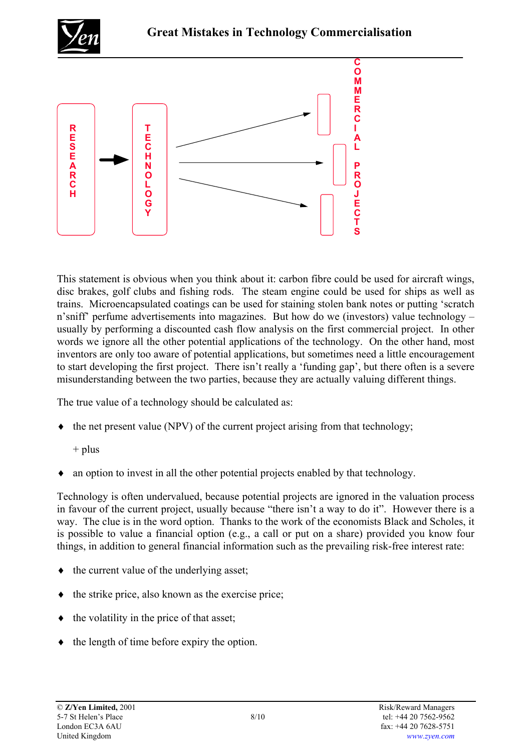



This statement is obvious when you think about it: carbon fibre could be used for aircraft wings, disc brakes, golf clubs and fishing rods. The steam engine could be used for ships as well as trains. Microencapsulated coatings can be used for staining stolen bank notes or putting 'scratch n'sniff' perfume advertisements into magazines. But how do we (investors) value technology – usually by performing a discounted cash flow analysis on the first commercial project. In other words we ignore all the other potential applications of the technology. On the other hand, most inventors are only too aware of potential applications, but sometimes need a little encouragement to start developing the first project. There isn't really a 'funding gap', but there often is a severe misunderstanding between the two parties, because they are actually valuing different things.

The true value of a technology should be calculated as:

- ♦ the net present value (NPV) of the current project arising from that technology;
	- $+$  plus
- an option to invest in all the other potential projects enabled by that technology.

Technology is often undervalued, because potential projects are ignored in the valuation process in favour of the current project, usually because "there isn't a way to do it". However there is a way. The clue is in the word option. Thanks to the work of the economists Black and Scholes, it is possible to value a financial option (e.g., a call or put on a share) provided you know four things, in addition to general financial information such as the prevailing risk-free interest rate:

- ♦ the current value of the underlying asset;
- the strike price, also known as the exercise price;
- the volatility in the price of that asset;
- ♦ the length of time before expiry the option.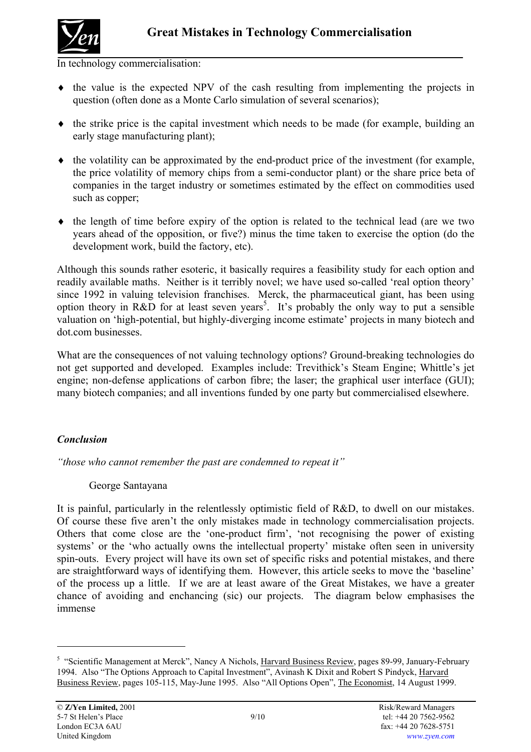

In technology commercialisation:

- ♦ the value is the expected NPV of the cash resulting from implementing the projects in question (often done as a Monte Carlo simulation of several scenarios);
- ♦ the strike price is the capital investment which needs to be made (for example, building an early stage manufacturing plant);
- ♦ the volatility can be approximated by the end-product price of the investment (for example, the price volatility of memory chips from a semi-conductor plant) or the share price beta of companies in the target industry or sometimes estimated by the effect on commodities used such as copper;
- $\bullet$  the length of time before expiry of the option is related to the technical lead (are we two years ahead of the opposition, or five?) minus the time taken to exercise the option (do the development work, build the factory, etc).

Although this sounds rather esoteric, it basically requires a feasibility study for each option and readily available maths. Neither is it terribly novel; we have used so-called 'real option theory' since 1992 in valuing television franchises. Merck, the pharmaceutical giant, has been using option theory in R&D for at least seven years<sup>[5](#page-8-0)</sup>. It's probably the only way to put a sensible valuation on 'high-potential, but highly-diverging income estimate' projects in many biotech and dot.com businesses.

What are the consequences of not valuing technology options? Ground-breaking technologies do not get supported and developed. Examples include: Trevithick's Steam Engine; Whittle's jet engine; non-defense applications of carbon fibre; the laser; the graphical user interface (GUI); many biotech companies; and all inventions funded by one party but commercialised elsewhere.

# *Conclusion*

*"those who cannot remember the past are condemned to repeat it"* 

George Santayana

It is painful, particularly in the relentlessly optimistic field of R&D, to dwell on our mistakes. Of course these five aren't the only mistakes made in technology commercialisation projects. Others that come close are the 'one-product firm', 'not recognising the power of existing systems' or the 'who actually owns the intellectual property' mistake often seen in university spin-outs. Every project will have its own set of specific risks and potential mistakes, and there are straightforward ways of identifying them. However, this article seeks to move the 'baseline' of the process up a little. If we are at least aware of the Great Mistakes, we have a greater chance of avoiding and enchancing (sic) our projects. The diagram below emphasises the immense

 $\overline{\phantom{a}}$ 

<span id="page-8-0"></span><sup>&</sup>lt;sup>5</sup> "Scientific Management at Merck", Nancy A Nichols, Harvard Business Review, pages 89-99, January-February 1994. Also "The Options Approach to Capital Investment", Avinash K Dixit and Robert S Pindyck, Harvard Business Review, pages 105-115, May-June 1995. Also "All Options Open", The Economist, 14 August 1999.